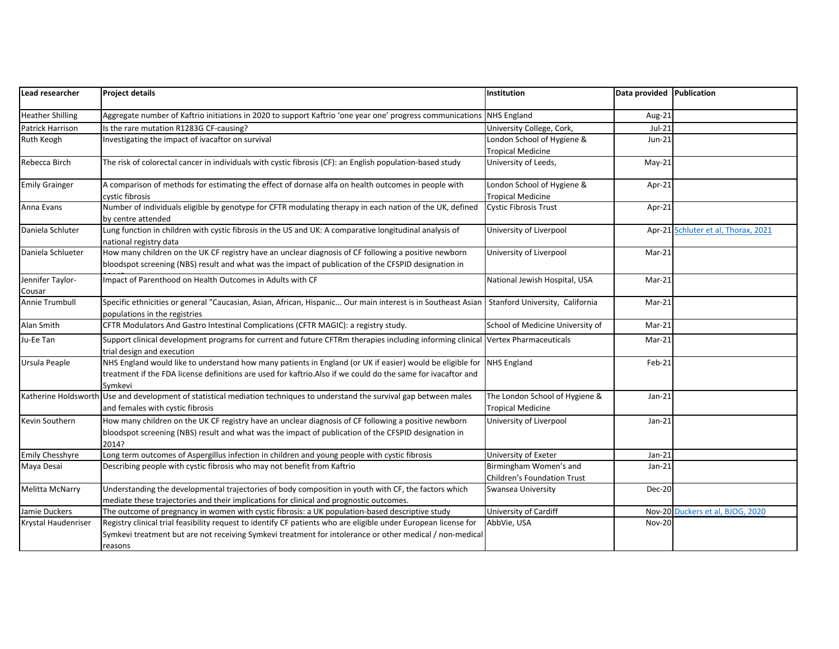| Lead researcher         | <b>Project details</b>                                                                                                                                                                                                               | Institution                                           | Data provided Publication |                                     |
|-------------------------|--------------------------------------------------------------------------------------------------------------------------------------------------------------------------------------------------------------------------------------|-------------------------------------------------------|---------------------------|-------------------------------------|
| <b>Heather Shilling</b> | Aggregate number of Kaftrio initiations in 2020 to support Kaftrio 'one year one' progress communications                                                                                                                            | <b>NHS England</b>                                    | Aug-21                    |                                     |
| Patrick Harrison        | Is the rare mutation R1283G CF-causing?                                                                                                                                                                                              | University College, Cork,                             | $Jul-21$                  |                                     |
| Ruth Keogh              | Investigating the impact of ivacaftor on survival                                                                                                                                                                                    | London School of Hygiene &                            | $Jun-21$                  |                                     |
|                         |                                                                                                                                                                                                                                      | <b>Tropical Medicine</b>                              |                           |                                     |
| Rebecca Birch           | The risk of colorectal cancer in individuals with cystic fibrosis (CF): an English population-based study                                                                                                                            | University of Leeds,                                  | $May-21$                  |                                     |
| <b>Emily Grainger</b>   | A comparison of methods for estimating the effect of dornase alfa on health outcomes in people with                                                                                                                                  | London School of Hygiene &                            | Apr-21                    |                                     |
|                         | cystic fibrosis                                                                                                                                                                                                                      | <b>Tropical Medicine</b>                              |                           |                                     |
| Anna Evans              | Number of individuals eligible by genotype for CFTR modulating therapy in each nation of the UK, defined                                                                                                                             | <b>Cystic Fibrosis Trust</b>                          | Apr-21                    |                                     |
| Daniela Schluter        | by centre attended<br>Lung function in children with cystic fibrosis in the US and UK: A comparative longitudinal analysis of                                                                                                        | University of Liverpool                               |                           | Apr-21 Schluter et al, Thorax, 2021 |
|                         | national registry data                                                                                                                                                                                                               |                                                       |                           |                                     |
| Daniela Schlueter       | How many children on the UK CF registry have an unclear diagnosis of CF following a positive newborn                                                                                                                                 | University of Liverpool                               | Mar-21                    |                                     |
|                         | bloodspot screening (NBS) result and what was the impact of publication of the CFSPID designation in                                                                                                                                 |                                                       |                           |                                     |
| Jennifer Taylor-        | Impact of Parenthood on Health Outcomes in Adults with CF                                                                                                                                                                            | National Jewish Hospital, USA                         | Mar-21                    |                                     |
| Cousar                  |                                                                                                                                                                                                                                      |                                                       |                           |                                     |
| Annie Trumbull          | Specific ethnicities or general "Caucasian, Asian, African, Hispanic Our main interest is in Southeast Asian<br>populations in the registries                                                                                        | Stanford University, California                       | $Mar-21$                  |                                     |
| Alan Smith              | CFTR Modulators And Gastro Intestinal Complications (CFTR MAGIC): a registry study.                                                                                                                                                  | School of Medicine University of                      | Mar-21                    |                                     |
| Ju-Ee Tan               | Support clinical development programs for current and future CFTRm therapies including informing clinical Vertex Pharmaceuticals<br>trial design and execution                                                                       |                                                       | Mar-21                    |                                     |
| Ursula Peaple           | NHS England would like to understand how many patients in England (or UK if easier) would be eligible for<br>treatment if the FDA license definitions are used for kaftrio.Also if we could do the same for ivacaftor and<br>Symkevi | <b>NHS England</b>                                    | Feb-21                    |                                     |
|                         | Katherine Holdsworth Use and development of statistical mediation techniques to understand the survival gap between males                                                                                                            | The London School of Hygiene &                        | $Jan-21$                  |                                     |
|                         | and females with cystic fibrosis                                                                                                                                                                                                     | <b>Tropical Medicine</b>                              |                           |                                     |
| Kevin Southern          | How many children on the UK CF registry have an unclear diagnosis of CF following a positive newborn<br>bloodspot screening (NBS) result and what was the impact of publication of the CFSPID designation in<br>2014?                | University of Liverpool                               | $Jan-21$                  |                                     |
| <b>Emily Chesshyre</b>  | Long term outcomes of Aspergillus infection in children and young people with cystic fibrosis                                                                                                                                        | University of Exeter                                  | $Jan-21$                  |                                     |
| Maya Desai              | Describing people with cystic fibrosis who may not benefit from Kaftrio                                                                                                                                                              | Birmingham Women's and<br>Children's Foundation Trust | $Jan-21$                  |                                     |
| <b>Melitta McNarry</b>  | Understanding the developmental trajectories of body composition in youth with CF, the factors which                                                                                                                                 | Swansea University                                    | <b>Dec-20</b>             |                                     |
|                         | mediate these trajectories and their implications for clinical and prognostic outcomes.                                                                                                                                              |                                                       |                           |                                     |
| Jamie Duckers           | The outcome of pregnancy in women with cystic fibrosis: a UK population-based descriptive study                                                                                                                                      | University of Cardiff                                 |                           | Nov-20 Duckers et al, BJOG, 2020    |
| Krystal Haudenriser     | Registry clinical trial feasibility request to identify CF patients who are eligible under European license for                                                                                                                      | AbbVie, USA                                           | <b>Nov-20</b>             |                                     |
|                         | Symkevi treatment but are not receiving Symkevi treatment for intolerance or other medical / non-medical                                                                                                                             |                                                       |                           |                                     |
|                         | reasons                                                                                                                                                                                                                              |                                                       |                           |                                     |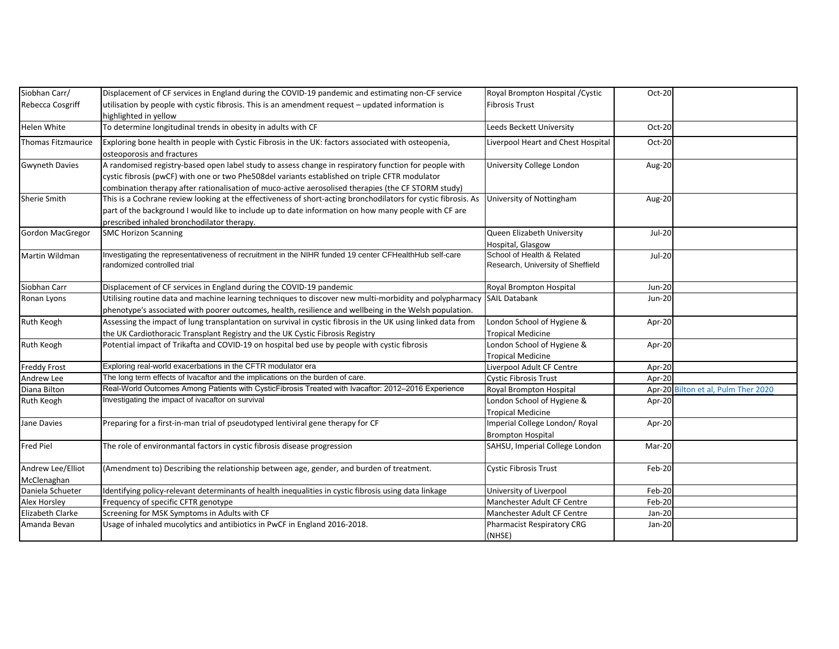| Siobhan Carr/             | Displacement of CF services in England during the COVID-19 pandemic and estimating non-CF service              | Royal Brompton Hospital / Cystic   | Oct-20        |                                     |
|---------------------------|----------------------------------------------------------------------------------------------------------------|------------------------------------|---------------|-------------------------------------|
| Rebecca Cosgriff          | utilisation by people with cystic fibrosis. This is an amendment request - updated information is              | <b>Fibrosis Trust</b>              |               |                                     |
|                           | highlighted in yellow                                                                                          |                                    |               |                                     |
| Helen White               | To determine longitudinal trends in obesity in adults with CF                                                  | Leeds Beckett University           | Oct-20        |                                     |
| <b>Thomas Fitzmaurice</b> | Exploring bone health in people with Cystic Fibrosis in the UK: factors associated with osteopenia,            | Liverpool Heart and Chest Hospital | Oct-20        |                                     |
|                           | osteoporosis and fractures                                                                                     |                                    |               |                                     |
| <b>Gwyneth Davies</b>     | A randomised registry-based open label study to assess change in respiratory function for people with          | <b>University College London</b>   | Aug-20        |                                     |
|                           | cystic fibrosis (pwCF) with one or two Phe508del variants established on triple CFTR modulator                 |                                    |               |                                     |
|                           | combination therapy after rationalisation of muco-active aerosolised therapies (the CF STORM study)            |                                    |               |                                     |
| Sherie Smith              | This is a Cochrane review looking at the effectiveness of short-acting bronchodilators for cystic fibrosis. As | University of Nottingham           | Aug-20        |                                     |
|                           | part of the background I would like to include up to date information on how many people with CF are           |                                    |               |                                     |
|                           | prescribed inhaled bronchodilator therapy.                                                                     |                                    |               |                                     |
| <b>Gordon MacGregor</b>   | <b>SMC Horizon Scanning</b>                                                                                    | Queen Elizabeth University         | Jul-20        |                                     |
|                           |                                                                                                                | Hospital, Glasgow                  |               |                                     |
| Martin Wildman            | Investigating the representativeness of recruitment in the NIHR funded 19 center CFHealthHub self-care         | School of Health & Related         | <b>Jul-20</b> |                                     |
|                           | randomized controlled trial                                                                                    | Research, University of Sheffield  |               |                                     |
| Siobhan Carr              | Displacement of CF services in England during the COVID-19 pandemic                                            | Royal Brompton Hospital            | <b>Jun-20</b> |                                     |
| Ronan Lyons               | Utilising routine data and machine learning techniques to discover new multi-morbidity and polypharmacy        | <b>SAIL Databank</b>               | <b>Jun-20</b> |                                     |
|                           | phenotype's associated with poorer outcomes, health, resilience and wellbeing in the Welsh population.         |                                    |               |                                     |
| Ruth Keogh                | Assessing the impact of lung transplantation on survival in cystic fibrosis in the UK using linked data from   | London School of Hygiene &         | Apr-20        |                                     |
|                           | the UK Cardiothoracic Transplant Registry and the UK Cystic Fibrosis Registry                                  | <b>Tropical Medicine</b>           |               |                                     |
| Ruth Keogh                | Potential impact of Trikafta and COVID-19 on hospital bed use by people with cystic fibrosis                   | London School of Hygiene &         | Apr-20        |                                     |
|                           |                                                                                                                | <b>Tropical Medicine</b>           |               |                                     |
| <b>Freddy Frost</b>       | Exploring real-world exacerbations in the CFTR modulator era                                                   | Liverpool Adult CF Centre          | Apr-20        |                                     |
| Andrew Lee                | The long term effects of Ivacaftor and the implications on the burden of care.                                 | <b>Cystic Fibrosis Trust</b>       | Apr-20        |                                     |
| Diana Bilton              | Real-World Outcomes Among Patients with CysticFibrosis Treated with Ivacaftor: 2012-2016 Experience            | Royal Brompton Hospital            |               | Apr-20 Bilton et al, Pulm Ther 2020 |
| Ruth Keogh                | Investigating the impact of ivacaftor on survival                                                              | London School of Hygiene &         | Apr-20        |                                     |
|                           |                                                                                                                | <b>Tropical Medicine</b>           |               |                                     |
| Jane Davies               | Preparing for a first-in-man trial of pseudotyped lentiviral gene therapy for CF                               | Imperial College London/ Royal     | Apr-20        |                                     |
|                           |                                                                                                                | <b>Brompton Hospital</b>           |               |                                     |
| <b>Fred Piel</b>          | The role of environmantal factors in cystic fibrosis disease progression                                       | SAHSU, Imperial College London     | Mar-20        |                                     |
|                           |                                                                                                                |                                    |               |                                     |
| Andrew Lee/Elliot         | (Amendment to) Describing the relationship between age, gender, and burden of treatment.                       | <b>Cystic Fibrosis Trust</b>       | Feb-20        |                                     |
| McClenaghan               |                                                                                                                |                                    |               |                                     |
| Daniela Schueter          | Identifying policy-relevant determinants of health inequalities in cystic fibrosis using data linkage          | University of Liverpool            | Feb-20        |                                     |
| Alex Horsley              | Frequency of specific CFTR genotype                                                                            | Manchester Adult CF Centre         | Feb-20        |                                     |
| Elizabeth Clarke          | Screening for MSK Symptoms in Adults with CF                                                                   | Manchester Adult CF Centre         | Jan-20        |                                     |
| Amanda Bevan              | Usage of inhaled mucolytics and antibiotics in PwCF in England 2016-2018.                                      | <b>Pharmacist Respiratory CRG</b>  | Jan-20        |                                     |
|                           |                                                                                                                | (NHSE)                             |               |                                     |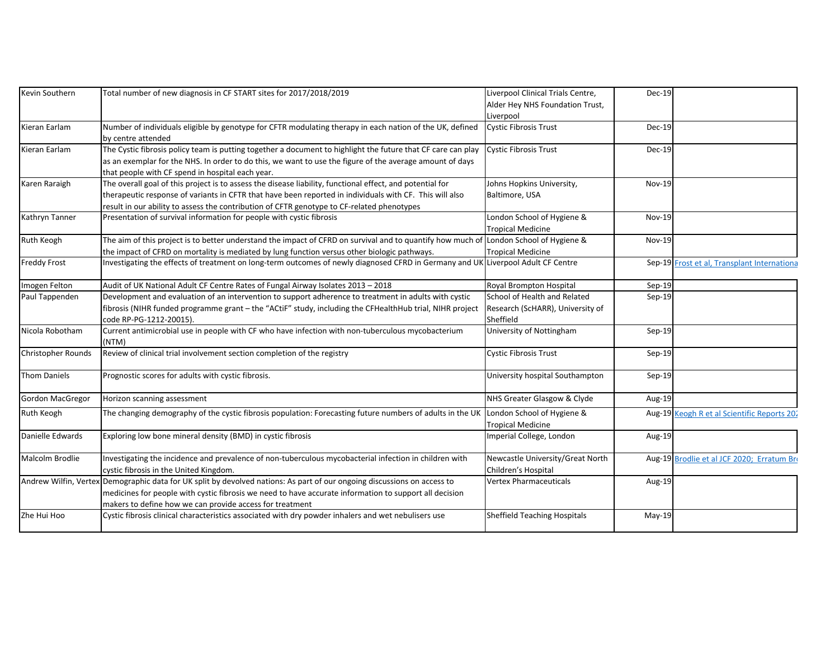| Kevin Southern            | Total number of new diagnosis in CF START sites for 2017/2018/2019                                                                               | Liverpool Clinical Trials Centre,                       | <b>Dec-19</b> |                                             |
|---------------------------|--------------------------------------------------------------------------------------------------------------------------------------------------|---------------------------------------------------------|---------------|---------------------------------------------|
|                           |                                                                                                                                                  | Alder Hey NHS Foundation Trust,                         |               |                                             |
|                           |                                                                                                                                                  | Liverpool                                               |               |                                             |
| Kieran Earlam             | Number of individuals eligible by genotype for CFTR modulating therapy in each nation of the UK, defined                                         | <b>Cystic Fibrosis Trust</b>                            | $Dec-19$      |                                             |
|                           | by centre attended                                                                                                                               |                                                         |               |                                             |
| Kieran Earlam             | The Cystic fibrosis policy team is putting together a document to highlight the future that CF care can play                                     | <b>Cystic Fibrosis Trust</b>                            | Dec-19        |                                             |
|                           | as an exemplar for the NHS. In order to do this, we want to use the figure of the average amount of days                                         |                                                         |               |                                             |
|                           | that people with CF spend in hospital each year.                                                                                                 |                                                         |               |                                             |
| Karen Raraigh             | The overall goal of this project is to assess the disease liability, functional effect, and potential for                                        | Johns Hopkins University,                               | <b>Nov-19</b> |                                             |
|                           | therapeutic response of variants in CFTR that have been reported in individuals with CF. This will also                                          | Baltimore, USA                                          |               |                                             |
|                           | result in our ability to assess the contribution of CFTR genotype to CF-related phenotypes                                                       |                                                         |               |                                             |
| Kathryn Tanner            | Presentation of survival information for people with cystic fibrosis                                                                             | London School of Hygiene &                              | <b>Nov-19</b> |                                             |
|                           |                                                                                                                                                  | <b>Tropical Medicine</b>                                |               |                                             |
| Ruth Keogh                | The aim of this project is to better understand the impact of CFRD on survival and to quantify how much of London School of Hygiene &            |                                                         | <b>Nov-19</b> |                                             |
|                           | the impact of CFRD on mortality is mediated by lung function versus other biologic pathways.                                                     | <b>Tropical Medicine</b>                                |               |                                             |
| <b>Freddy Frost</b>       | Investigating the effects of treatment on long-term outcomes of newly diagnosed CFRD in Germany and UK Liverpool Adult CF Centre                 |                                                         |               | Sep-19 Frost et al, Transplant Internationa |
| Imogen Felton             | Audit of UK National Adult CF Centre Rates of Fungal Airway Isolates 2013 - 2018                                                                 | Royal Brompton Hospital                                 | $Sep-19$      |                                             |
| Paul Tappenden            | Development and evaluation of an intervention to support adherence to treatment in adults with cystic                                            | School of Health and Related                            | Sep-19        |                                             |
|                           | fibrosis (NIHR funded programme grant - the "ACtiF" study, including the CFHealthHub trial, NIHR project                                         | Research (ScHARR), University of                        |               |                                             |
|                           | code RP-PG-1212-20015).                                                                                                                          | Sheffield                                               |               |                                             |
| Nicola Robotham           | Current antimicrobial use in people with CF who have infection with non-tuberculous mycobacterium<br>(NTM)                                       | University of Nottingham                                | Sep-19        |                                             |
| <b>Christopher Rounds</b> | Review of clinical trial involvement section completion of the registry                                                                          | <b>Cystic Fibrosis Trust</b>                            | $Sep-19$      |                                             |
| <b>Thom Daniels</b>       | Prognostic scores for adults with cystic fibrosis.                                                                                               | University hospital Southampton                         | Sep-19        |                                             |
| <b>Gordon MacGregor</b>   | Horizon scanning assessment                                                                                                                      | NHS Greater Glasgow & Clyde                             | Aug-19        |                                             |
| Ruth Keogh                | The changing demography of the cystic fibrosis population: Forecasting future numbers of adults in the UK                                        | London School of Hygiene &<br><b>Tropical Medicine</b>  |               | Aug-19 Keogh R et al Scientific Reports 202 |
| Danielle Edwards          | Exploring low bone mineral density (BMD) in cystic fibrosis                                                                                      | Imperial College, London                                | Aug-19        |                                             |
| Malcolm Brodlie           | Investigating the incidence and prevalence of non-tuberculous mycobacterial infection in children with<br>cystic fibrosis in the United Kingdom. | Newcastle University/Great North<br>Children's Hospital |               | Aug-19 Brodlie et al JCF 2020; Erratum Bro  |
|                           | Andrew Wilfin, Vertex Demographic data for UK split by devolved nations: As part of our ongoing discussions on access to                         | <b>Vertex Pharmaceuticals</b>                           | Aug-19        |                                             |
|                           | medicines for people with cystic fibrosis we need to have accurate information to support all decision                                           |                                                         |               |                                             |
|                           | makers to define how we can provide access for treatment                                                                                         |                                                         |               |                                             |
| Zhe Hui Hoo               | Cystic fibrosis clinical characteristics associated with dry powder inhalers and wet nebulisers use                                              | <b>Sheffield Teaching Hospitals</b>                     | May-19        |                                             |
|                           |                                                                                                                                                  |                                                         |               |                                             |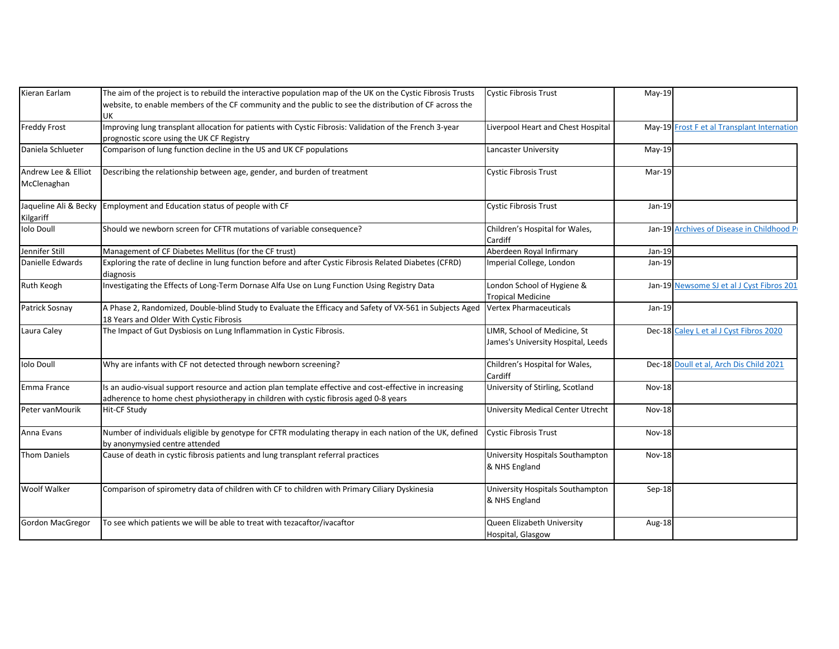| Kieran Earlam                      | The aim of the project is to rebuild the interactive population map of the UK on the Cystic Fibrosis Trusts                                                                                      | <b>Cystic Fibrosis Trust</b>                                       | $May-19$      |                                             |
|------------------------------------|--------------------------------------------------------------------------------------------------------------------------------------------------------------------------------------------------|--------------------------------------------------------------------|---------------|---------------------------------------------|
|                                    | website, to enable members of the CF community and the public to see the distribution of CF across the                                                                                           |                                                                    |               |                                             |
|                                    | UK                                                                                                                                                                                               |                                                                    |               |                                             |
| <b>Freddy Frost</b>                | Improving lung transplant allocation for patients with Cystic Fibrosis: Validation of the French 3-year                                                                                          | Liverpool Heart and Chest Hospital                                 |               | May-19 Frost F et al Transplant Internation |
|                                    | prognostic score using the UK CF Registry                                                                                                                                                        |                                                                    |               |                                             |
| Daniela Schlueter                  | Comparison of lung function decline in the US and UK CF populations                                                                                                                              | Lancaster University                                               | $May-19$      |                                             |
| Andrew Lee & Elliot<br>McClenaghan | Describing the relationship between age, gender, and burden of treatment                                                                                                                         | Cystic Fibrosis Trust                                              | Mar-19        |                                             |
| Jaqueline Ali & Becky<br>Kilgariff | Employment and Education status of people with CF                                                                                                                                                | <b>Cystic Fibrosis Trust</b>                                       | Jan-19        |                                             |
| <b>Iolo Doull</b>                  | Should we newborn screen for CFTR mutations of variable consequence?                                                                                                                             | Children's Hospital for Wales,<br>Cardiff                          |               | Jan-19 Archives of Disease in Childhood Pr  |
| Jennifer Still                     | Management of CF Diabetes Mellitus (for the CF trust)                                                                                                                                            | Aberdeen Royal Infirmary                                           | Jan-19        |                                             |
| Danielle Edwards                   | Exploring the rate of decline in lung function before and after Cystic Fibrosis Related Diabetes (CFRD)<br>diagnosis                                                                             | Imperial College, London                                           | Jan-19        |                                             |
| Ruth Keogh                         | Investigating the Effects of Long-Term Dornase Alfa Use on Lung Function Using Registry Data                                                                                                     | London School of Hygiene &<br><b>Tropical Medicine</b>             |               | Jan-19 Newsome SJ et al J Cyst Fibros 201   |
| Patrick Sosnay                     | A Phase 2, Randomized, Double-blind Study to Evaluate the Efficacy and Safety of VX-561 in Subjects Aged<br>18 Years and Older With Cystic Fibrosis                                              | <b>Vertex Pharmaceuticals</b>                                      | Jan-19        |                                             |
| Laura Caley                        | The Impact of Gut Dysbiosis on Lung Inflammation in Cystic Fibrosis.                                                                                                                             | LIMR, School of Medicine, St<br>James's University Hospital, Leeds |               | Dec-18 Caley L et al J Cyst Fibros 2020     |
| <b>Iolo Doull</b>                  | Why are infants with CF not detected through newborn screening?                                                                                                                                  | Children's Hospital for Wales,<br>Cardiff                          |               | Dec-18 Doull et al, Arch Dis Child 2021     |
| Emma France                        | Is an audio-visual support resource and action plan template effective and cost-effective in increasing<br>adherence to home chest physiotherapy in children with cystic fibrosis aged 0-8 years | University of Stirling, Scotland                                   | <b>Nov-18</b> |                                             |
| Peter vanMourik                    | Hit-CF Study                                                                                                                                                                                     | <b>University Medical Center Utrecht</b>                           | <b>Nov-18</b> |                                             |
| Anna Evans                         | Number of individuals eligible by genotype for CFTR modulating therapy in each nation of the UK, defined<br>by anonymysied centre attended                                                       | <b>Cystic Fibrosis Trust</b>                                       | <b>Nov-18</b> |                                             |
| <b>Thom Daniels</b>                | Cause of death in cystic fibrosis patients and lung transplant referral practices                                                                                                                | University Hospitals Southampton<br>& NHS England                  | Nov-18        |                                             |
| <b>Woolf Walker</b>                | Comparison of spirometry data of children with CF to children with Primary Ciliary Dyskinesia                                                                                                    | University Hospitals Southampton<br>& NHS England                  | Sep-18        |                                             |
| <b>Gordon MacGregor</b>            | To see which patients we will be able to treat with tezacaftor/ivacaftor                                                                                                                         | Queen Elizabeth University<br>Hospital, Glasgow                    | Aug-18        |                                             |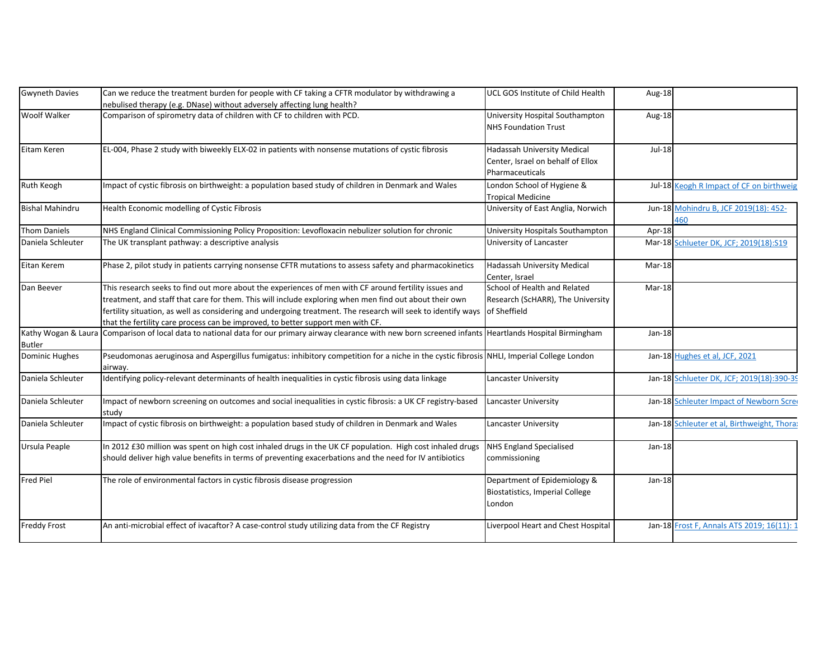| Gwyneth Davies<br>Can we reduce the treatment burden for people with CF taking a CFTR modulator by withdrawing a<br>UCL GOS Institute of Child Health<br>Aug-18<br>nebulised therapy (e.g. DNase) without adversely affecting lung health?<br><b>Woolf Walker</b><br>Comparison of spirometry data of children with CF to children with PCD.<br>University Hospital Southampton<br>Aug-18<br><b>NHS Foundation Trust</b><br>Jul-18<br>Eitam Keren<br>EL-004, Phase 2 study with biweekly ELX-02 in patients with nonsense mutations of cystic fibrosis<br>Hadassah University Medical<br>Center, Israel on behalf of Ellox<br>Pharmaceuticals<br>Ruth Keogh<br>Impact of cystic fibrosis on birthweight: a population based study of children in Denmark and Wales<br>London School of Hygiene &<br>Tropical Medicine<br><b>Bishal Mahindru</b><br>Health Economic modelling of Cystic Fibrosis<br>University of East Anglia, Norwich<br><b>Thom Daniels</b><br>NHS England Clinical Commissioning Policy Proposition: Levofloxacin nebulizer solution for chronic<br>University Hospitals Southampton<br>Apr-18<br>Daniela Schleuter<br>The UK transplant pathway: a descriptive analysis<br>University of Lancaster<br>Eitan Kerem<br>Phase 2, pilot study in patients carrying nonsense CFTR mutations to assess safety and pharmacokinetics<br>Hadassah University Medical<br>Mar-18<br>Center, Israel<br>School of Health and Related<br>Dan Beever<br>This research seeks to find out more about the experiences of men with CF around fertility issues and<br>Mar-18<br>treatment, and staff that care for them. This will include exploring when men find out about their own<br>Research (ScHARR), The University<br>fertility situation, as well as considering and undergoing treatment. The research will seek to identify ways of Sheffield<br>that the fertility care process can be improved, to better support men with CF.<br>Kathy Wogan & Laura<br>Comparison of local data to national data for our primary airway clearance with new born screened infants Heartlands Hospital Birmingham<br>$Jan-18$<br><b>Butler</b><br><b>Dominic Hughes</b><br>Pseudomonas aeruginosa and Aspergillus fumigatus: inhibitory competition for a niche in the cystic fibrosis NHLI, Imperial College London<br>airway.<br>Identifying policy-relevant determinants of health inequalities in cystic fibrosis using data linkage<br>Daniela Schleuter<br>Lancaster University<br>Daniela Schleuter<br>Impact of newborn screening on outcomes and social inequalities in cystic fibrosis: a UK CF registry-based<br>Lancaster University<br>study<br>Daniela Schleuter<br>Impact of cystic fibrosis on birthweight: a population based study of children in Denmark and Wales<br>Lancaster University<br>In 2012 £30 million was spent on high cost inhaled drugs in the UK CF population. High cost inhaled drugs<br>NHS England Specialised<br>Ursula Peaple<br>$Jan-18$<br>should deliver high value benefits in terms of preventing exacerbations and the need for IV antibiotics<br>commissioning<br><b>Fred Piel</b><br>The role of environmental factors in cystic fibrosis disease progression<br>Department of Epidemiology &<br>$Jan-18$ |                                             |
|---------------------------------------------------------------------------------------------------------------------------------------------------------------------------------------------------------------------------------------------------------------------------------------------------------------------------------------------------------------------------------------------------------------------------------------------------------------------------------------------------------------------------------------------------------------------------------------------------------------------------------------------------------------------------------------------------------------------------------------------------------------------------------------------------------------------------------------------------------------------------------------------------------------------------------------------------------------------------------------------------------------------------------------------------------------------------------------------------------------------------------------------------------------------------------------------------------------------------------------------------------------------------------------------------------------------------------------------------------------------------------------------------------------------------------------------------------------------------------------------------------------------------------------------------------------------------------------------------------------------------------------------------------------------------------------------------------------------------------------------------------------------------------------------------------------------------------------------------------------------------------------------------------------------------------------------------------------------------------------------------------------------------------------------------------------------------------------------------------------------------------------------------------------------------------------------------------------------------------------------------------------------------------------------------------------------------------------------------------------------------------------------------------------------------------------------------------------------------------------------------------------------------------------------------------------------------------------------------------------------------------------------------------------------------------------------------------------------------------------------------------------------------------------------------------------------------------------------------------------------------------------------------------------------------------------------------------------------------------------------------------------------------------------------------------------------------------------------------------------------------------------------------------------------------------------------------------------------------------------------------------|---------------------------------------------|
|                                                                                                                                                                                                                                                                                                                                                                                                                                                                                                                                                                                                                                                                                                                                                                                                                                                                                                                                                                                                                                                                                                                                                                                                                                                                                                                                                                                                                                                                                                                                                                                                                                                                                                                                                                                                                                                                                                                                                                                                                                                                                                                                                                                                                                                                                                                                                                                                                                                                                                                                                                                                                                                                                                                                                                                                                                                                                                                                                                                                                                                                                                                                                                                                                                                         |                                             |
|                                                                                                                                                                                                                                                                                                                                                                                                                                                                                                                                                                                                                                                                                                                                                                                                                                                                                                                                                                                                                                                                                                                                                                                                                                                                                                                                                                                                                                                                                                                                                                                                                                                                                                                                                                                                                                                                                                                                                                                                                                                                                                                                                                                                                                                                                                                                                                                                                                                                                                                                                                                                                                                                                                                                                                                                                                                                                                                                                                                                                                                                                                                                                                                                                                                         |                                             |
|                                                                                                                                                                                                                                                                                                                                                                                                                                                                                                                                                                                                                                                                                                                                                                                                                                                                                                                                                                                                                                                                                                                                                                                                                                                                                                                                                                                                                                                                                                                                                                                                                                                                                                                                                                                                                                                                                                                                                                                                                                                                                                                                                                                                                                                                                                                                                                                                                                                                                                                                                                                                                                                                                                                                                                                                                                                                                                                                                                                                                                                                                                                                                                                                                                                         |                                             |
|                                                                                                                                                                                                                                                                                                                                                                                                                                                                                                                                                                                                                                                                                                                                                                                                                                                                                                                                                                                                                                                                                                                                                                                                                                                                                                                                                                                                                                                                                                                                                                                                                                                                                                                                                                                                                                                                                                                                                                                                                                                                                                                                                                                                                                                                                                                                                                                                                                                                                                                                                                                                                                                                                                                                                                                                                                                                                                                                                                                                                                                                                                                                                                                                                                                         |                                             |
|                                                                                                                                                                                                                                                                                                                                                                                                                                                                                                                                                                                                                                                                                                                                                                                                                                                                                                                                                                                                                                                                                                                                                                                                                                                                                                                                                                                                                                                                                                                                                                                                                                                                                                                                                                                                                                                                                                                                                                                                                                                                                                                                                                                                                                                                                                                                                                                                                                                                                                                                                                                                                                                                                                                                                                                                                                                                                                                                                                                                                                                                                                                                                                                                                                                         |                                             |
|                                                                                                                                                                                                                                                                                                                                                                                                                                                                                                                                                                                                                                                                                                                                                                                                                                                                                                                                                                                                                                                                                                                                                                                                                                                                                                                                                                                                                                                                                                                                                                                                                                                                                                                                                                                                                                                                                                                                                                                                                                                                                                                                                                                                                                                                                                                                                                                                                                                                                                                                                                                                                                                                                                                                                                                                                                                                                                                                                                                                                                                                                                                                                                                                                                                         |                                             |
|                                                                                                                                                                                                                                                                                                                                                                                                                                                                                                                                                                                                                                                                                                                                                                                                                                                                                                                                                                                                                                                                                                                                                                                                                                                                                                                                                                                                                                                                                                                                                                                                                                                                                                                                                                                                                                                                                                                                                                                                                                                                                                                                                                                                                                                                                                                                                                                                                                                                                                                                                                                                                                                                                                                                                                                                                                                                                                                                                                                                                                                                                                                                                                                                                                                         |                                             |
|                                                                                                                                                                                                                                                                                                                                                                                                                                                                                                                                                                                                                                                                                                                                                                                                                                                                                                                                                                                                                                                                                                                                                                                                                                                                                                                                                                                                                                                                                                                                                                                                                                                                                                                                                                                                                                                                                                                                                                                                                                                                                                                                                                                                                                                                                                                                                                                                                                                                                                                                                                                                                                                                                                                                                                                                                                                                                                                                                                                                                                                                                                                                                                                                                                                         | Jul-18 Keogh R Impact of CF on birthweig    |
|                                                                                                                                                                                                                                                                                                                                                                                                                                                                                                                                                                                                                                                                                                                                                                                                                                                                                                                                                                                                                                                                                                                                                                                                                                                                                                                                                                                                                                                                                                                                                                                                                                                                                                                                                                                                                                                                                                                                                                                                                                                                                                                                                                                                                                                                                                                                                                                                                                                                                                                                                                                                                                                                                                                                                                                                                                                                                                                                                                                                                                                                                                                                                                                                                                                         |                                             |
|                                                                                                                                                                                                                                                                                                                                                                                                                                                                                                                                                                                                                                                                                                                                                                                                                                                                                                                                                                                                                                                                                                                                                                                                                                                                                                                                                                                                                                                                                                                                                                                                                                                                                                                                                                                                                                                                                                                                                                                                                                                                                                                                                                                                                                                                                                                                                                                                                                                                                                                                                                                                                                                                                                                                                                                                                                                                                                                                                                                                                                                                                                                                                                                                                                                         | Jun-18 Mohindru B, JCF 2019(18): 452-       |
|                                                                                                                                                                                                                                                                                                                                                                                                                                                                                                                                                                                                                                                                                                                                                                                                                                                                                                                                                                                                                                                                                                                                                                                                                                                                                                                                                                                                                                                                                                                                                                                                                                                                                                                                                                                                                                                                                                                                                                                                                                                                                                                                                                                                                                                                                                                                                                                                                                                                                                                                                                                                                                                                                                                                                                                                                                                                                                                                                                                                                                                                                                                                                                                                                                                         | 460                                         |
|                                                                                                                                                                                                                                                                                                                                                                                                                                                                                                                                                                                                                                                                                                                                                                                                                                                                                                                                                                                                                                                                                                                                                                                                                                                                                                                                                                                                                                                                                                                                                                                                                                                                                                                                                                                                                                                                                                                                                                                                                                                                                                                                                                                                                                                                                                                                                                                                                                                                                                                                                                                                                                                                                                                                                                                                                                                                                                                                                                                                                                                                                                                                                                                                                                                         |                                             |
|                                                                                                                                                                                                                                                                                                                                                                                                                                                                                                                                                                                                                                                                                                                                                                                                                                                                                                                                                                                                                                                                                                                                                                                                                                                                                                                                                                                                                                                                                                                                                                                                                                                                                                                                                                                                                                                                                                                                                                                                                                                                                                                                                                                                                                                                                                                                                                                                                                                                                                                                                                                                                                                                                                                                                                                                                                                                                                                                                                                                                                                                                                                                                                                                                                                         | Mar-18 Schlueter DK, JCF; 2019(18):S19      |
|                                                                                                                                                                                                                                                                                                                                                                                                                                                                                                                                                                                                                                                                                                                                                                                                                                                                                                                                                                                                                                                                                                                                                                                                                                                                                                                                                                                                                                                                                                                                                                                                                                                                                                                                                                                                                                                                                                                                                                                                                                                                                                                                                                                                                                                                                                                                                                                                                                                                                                                                                                                                                                                                                                                                                                                                                                                                                                                                                                                                                                                                                                                                                                                                                                                         |                                             |
|                                                                                                                                                                                                                                                                                                                                                                                                                                                                                                                                                                                                                                                                                                                                                                                                                                                                                                                                                                                                                                                                                                                                                                                                                                                                                                                                                                                                                                                                                                                                                                                                                                                                                                                                                                                                                                                                                                                                                                                                                                                                                                                                                                                                                                                                                                                                                                                                                                                                                                                                                                                                                                                                                                                                                                                                                                                                                                                                                                                                                                                                                                                                                                                                                                                         |                                             |
|                                                                                                                                                                                                                                                                                                                                                                                                                                                                                                                                                                                                                                                                                                                                                                                                                                                                                                                                                                                                                                                                                                                                                                                                                                                                                                                                                                                                                                                                                                                                                                                                                                                                                                                                                                                                                                                                                                                                                                                                                                                                                                                                                                                                                                                                                                                                                                                                                                                                                                                                                                                                                                                                                                                                                                                                                                                                                                                                                                                                                                                                                                                                                                                                                                                         |                                             |
|                                                                                                                                                                                                                                                                                                                                                                                                                                                                                                                                                                                                                                                                                                                                                                                                                                                                                                                                                                                                                                                                                                                                                                                                                                                                                                                                                                                                                                                                                                                                                                                                                                                                                                                                                                                                                                                                                                                                                                                                                                                                                                                                                                                                                                                                                                                                                                                                                                                                                                                                                                                                                                                                                                                                                                                                                                                                                                                                                                                                                                                                                                                                                                                                                                                         |                                             |
|                                                                                                                                                                                                                                                                                                                                                                                                                                                                                                                                                                                                                                                                                                                                                                                                                                                                                                                                                                                                                                                                                                                                                                                                                                                                                                                                                                                                                                                                                                                                                                                                                                                                                                                                                                                                                                                                                                                                                                                                                                                                                                                                                                                                                                                                                                                                                                                                                                                                                                                                                                                                                                                                                                                                                                                                                                                                                                                                                                                                                                                                                                                                                                                                                                                         |                                             |
|                                                                                                                                                                                                                                                                                                                                                                                                                                                                                                                                                                                                                                                                                                                                                                                                                                                                                                                                                                                                                                                                                                                                                                                                                                                                                                                                                                                                                                                                                                                                                                                                                                                                                                                                                                                                                                                                                                                                                                                                                                                                                                                                                                                                                                                                                                                                                                                                                                                                                                                                                                                                                                                                                                                                                                                                                                                                                                                                                                                                                                                                                                                                                                                                                                                         |                                             |
|                                                                                                                                                                                                                                                                                                                                                                                                                                                                                                                                                                                                                                                                                                                                                                                                                                                                                                                                                                                                                                                                                                                                                                                                                                                                                                                                                                                                                                                                                                                                                                                                                                                                                                                                                                                                                                                                                                                                                                                                                                                                                                                                                                                                                                                                                                                                                                                                                                                                                                                                                                                                                                                                                                                                                                                                                                                                                                                                                                                                                                                                                                                                                                                                                                                         |                                             |
|                                                                                                                                                                                                                                                                                                                                                                                                                                                                                                                                                                                                                                                                                                                                                                                                                                                                                                                                                                                                                                                                                                                                                                                                                                                                                                                                                                                                                                                                                                                                                                                                                                                                                                                                                                                                                                                                                                                                                                                                                                                                                                                                                                                                                                                                                                                                                                                                                                                                                                                                                                                                                                                                                                                                                                                                                                                                                                                                                                                                                                                                                                                                                                                                                                                         |                                             |
|                                                                                                                                                                                                                                                                                                                                                                                                                                                                                                                                                                                                                                                                                                                                                                                                                                                                                                                                                                                                                                                                                                                                                                                                                                                                                                                                                                                                                                                                                                                                                                                                                                                                                                                                                                                                                                                                                                                                                                                                                                                                                                                                                                                                                                                                                                                                                                                                                                                                                                                                                                                                                                                                                                                                                                                                                                                                                                                                                                                                                                                                                                                                                                                                                                                         | Jan-18 Hughes et al, JCF, 2021              |
|                                                                                                                                                                                                                                                                                                                                                                                                                                                                                                                                                                                                                                                                                                                                                                                                                                                                                                                                                                                                                                                                                                                                                                                                                                                                                                                                                                                                                                                                                                                                                                                                                                                                                                                                                                                                                                                                                                                                                                                                                                                                                                                                                                                                                                                                                                                                                                                                                                                                                                                                                                                                                                                                                                                                                                                                                                                                                                                                                                                                                                                                                                                                                                                                                                                         |                                             |
|                                                                                                                                                                                                                                                                                                                                                                                                                                                                                                                                                                                                                                                                                                                                                                                                                                                                                                                                                                                                                                                                                                                                                                                                                                                                                                                                                                                                                                                                                                                                                                                                                                                                                                                                                                                                                                                                                                                                                                                                                                                                                                                                                                                                                                                                                                                                                                                                                                                                                                                                                                                                                                                                                                                                                                                                                                                                                                                                                                                                                                                                                                                                                                                                                                                         | Jan-18 Schlueter DK, JCF; 2019(18):390-39   |
|                                                                                                                                                                                                                                                                                                                                                                                                                                                                                                                                                                                                                                                                                                                                                                                                                                                                                                                                                                                                                                                                                                                                                                                                                                                                                                                                                                                                                                                                                                                                                                                                                                                                                                                                                                                                                                                                                                                                                                                                                                                                                                                                                                                                                                                                                                                                                                                                                                                                                                                                                                                                                                                                                                                                                                                                                                                                                                                                                                                                                                                                                                                                                                                                                                                         | Jan-18 Schleuter Impact of Newborn Scree    |
|                                                                                                                                                                                                                                                                                                                                                                                                                                                                                                                                                                                                                                                                                                                                                                                                                                                                                                                                                                                                                                                                                                                                                                                                                                                                                                                                                                                                                                                                                                                                                                                                                                                                                                                                                                                                                                                                                                                                                                                                                                                                                                                                                                                                                                                                                                                                                                                                                                                                                                                                                                                                                                                                                                                                                                                                                                                                                                                                                                                                                                                                                                                                                                                                                                                         |                                             |
|                                                                                                                                                                                                                                                                                                                                                                                                                                                                                                                                                                                                                                                                                                                                                                                                                                                                                                                                                                                                                                                                                                                                                                                                                                                                                                                                                                                                                                                                                                                                                                                                                                                                                                                                                                                                                                                                                                                                                                                                                                                                                                                                                                                                                                                                                                                                                                                                                                                                                                                                                                                                                                                                                                                                                                                                                                                                                                                                                                                                                                                                                                                                                                                                                                                         | Jan-18 Schleuter et al, Birthweight, Thora: |
|                                                                                                                                                                                                                                                                                                                                                                                                                                                                                                                                                                                                                                                                                                                                                                                                                                                                                                                                                                                                                                                                                                                                                                                                                                                                                                                                                                                                                                                                                                                                                                                                                                                                                                                                                                                                                                                                                                                                                                                                                                                                                                                                                                                                                                                                                                                                                                                                                                                                                                                                                                                                                                                                                                                                                                                                                                                                                                                                                                                                                                                                                                                                                                                                                                                         |                                             |
|                                                                                                                                                                                                                                                                                                                                                                                                                                                                                                                                                                                                                                                                                                                                                                                                                                                                                                                                                                                                                                                                                                                                                                                                                                                                                                                                                                                                                                                                                                                                                                                                                                                                                                                                                                                                                                                                                                                                                                                                                                                                                                                                                                                                                                                                                                                                                                                                                                                                                                                                                                                                                                                                                                                                                                                                                                                                                                                                                                                                                                                                                                                                                                                                                                                         |                                             |
|                                                                                                                                                                                                                                                                                                                                                                                                                                                                                                                                                                                                                                                                                                                                                                                                                                                                                                                                                                                                                                                                                                                                                                                                                                                                                                                                                                                                                                                                                                                                                                                                                                                                                                                                                                                                                                                                                                                                                                                                                                                                                                                                                                                                                                                                                                                                                                                                                                                                                                                                                                                                                                                                                                                                                                                                                                                                                                                                                                                                                                                                                                                                                                                                                                                         |                                             |
| <b>Biostatistics, Imperial College</b>                                                                                                                                                                                                                                                                                                                                                                                                                                                                                                                                                                                                                                                                                                                                                                                                                                                                                                                                                                                                                                                                                                                                                                                                                                                                                                                                                                                                                                                                                                                                                                                                                                                                                                                                                                                                                                                                                                                                                                                                                                                                                                                                                                                                                                                                                                                                                                                                                                                                                                                                                                                                                                                                                                                                                                                                                                                                                                                                                                                                                                                                                                                                                                                                                  |                                             |
| London                                                                                                                                                                                                                                                                                                                                                                                                                                                                                                                                                                                                                                                                                                                                                                                                                                                                                                                                                                                                                                                                                                                                                                                                                                                                                                                                                                                                                                                                                                                                                                                                                                                                                                                                                                                                                                                                                                                                                                                                                                                                                                                                                                                                                                                                                                                                                                                                                                                                                                                                                                                                                                                                                                                                                                                                                                                                                                                                                                                                                                                                                                                                                                                                                                                  |                                             |
| <b>Freddy Frost</b><br>An anti-microbial effect of ivacaftor? A case-control study utilizing data from the CF Registry<br>Liverpool Heart and Chest Hospital                                                                                                                                                                                                                                                                                                                                                                                                                                                                                                                                                                                                                                                                                                                                                                                                                                                                                                                                                                                                                                                                                                                                                                                                                                                                                                                                                                                                                                                                                                                                                                                                                                                                                                                                                                                                                                                                                                                                                                                                                                                                                                                                                                                                                                                                                                                                                                                                                                                                                                                                                                                                                                                                                                                                                                                                                                                                                                                                                                                                                                                                                            | Jan-18 Frost F, Annals ATS 2019; 16(11):    |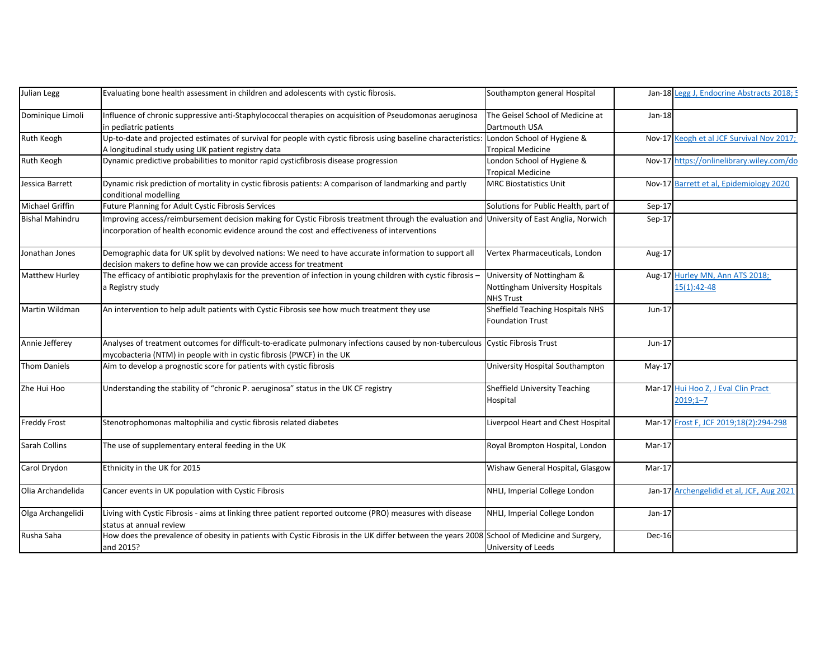| Julian Legg            | Evaluating bone health assessment in children and adolescents with cystic fibrosis.                                                                                                                                                        | Southampton general Hospital                                |               | Jan-18 Legg J, Endocrine Abstracts 2018; 5   |
|------------------------|--------------------------------------------------------------------------------------------------------------------------------------------------------------------------------------------------------------------------------------------|-------------------------------------------------------------|---------------|----------------------------------------------|
| Dominique Limoli       | Influence of chronic suppressive anti-Staphylococcal therapies on acquisition of Pseudomonas aeruginosa                                                                                                                                    | The Geisel School of Medicine at                            | Jan-18        |                                              |
|                        | in pediatric patients                                                                                                                                                                                                                      | Dartmouth USA                                               |               |                                              |
| Ruth Keogh             | Up-to-date and projected estimates of survival for people with cystic fibrosis using baseline characteristics:                                                                                                                             | London School of Hygiene &                                  |               | Nov-17 Keogh et al JCF Survival Nov 2017;    |
|                        | A longitudinal study using UK patient registry data                                                                                                                                                                                        | <b>Tropical Medicine</b>                                    |               |                                              |
| Ruth Keogh             | Dynamic predictive probabilities to monitor rapid cysticfibrosis disease progression                                                                                                                                                       | London School of Hygiene &                                  |               | Nov-17 https://onlinelibrary.wiley.com/do    |
|                        |                                                                                                                                                                                                                                            | <b>Tropical Medicine</b>                                    |               |                                              |
| Jessica Barrett        | Dynamic risk prediction of mortality in cystic fibrosis patients: A comparison of landmarking and partly<br>conditional modelling                                                                                                          | <b>MRC Biostatistics Unit</b>                               | <b>Nov-17</b> | Barrett et al, Epidemiology 2020             |
| <b>Michael Griffin</b> | Future Planning for Adult Cystic Fibrosis Services                                                                                                                                                                                         | Solutions for Public Health, part of                        | Sep-17        |                                              |
| <b>Bishal Mahindru</b> | Improving access/reimbursement decision making for Cystic Fibrosis treatment through the evaluation and University of East Anglia, Norwich<br>incorporation of health economic evidence around the cost and effectiveness of interventions |                                                             | $Sep-17$      |                                              |
| Jonathan Jones         | Demographic data for UK split by devolved nations: We need to have accurate information to support all<br>decision makers to define how we can provide access for treatment                                                                | Vertex Pharmaceuticals, London                              | Aug-17        |                                              |
| Matthew Hurley         | The efficacy of antibiotic prophylaxis for the prevention of infection in young children with cystic fibrosis -                                                                                                                            | University of Nottingham &                                  | Aug-17        | Hurley MN, Ann ATS 2018;                     |
|                        | a Registry study                                                                                                                                                                                                                           | Nottingham University Hospitals<br><b>NHS Trust</b>         |               | 15(1):42-48                                  |
| Martin Wildman         | An intervention to help adult patients with Cystic Fibrosis see how much treatment they use                                                                                                                                                | Sheffield Teaching Hospitals NHS<br><b>Foundation Trust</b> | $Jun-17$      |                                              |
| Annie Jefferey         | Analyses of treatment outcomes for difficult-to-eradicate pulmonary infections caused by non-tuberculous Cystic Fibrosis Trust                                                                                                             |                                                             | $Jun-17$      |                                              |
|                        | mycobacteria (NTM) in people with in cystic fibrosis (PWCF) in the UK                                                                                                                                                                      |                                                             |               |                                              |
| <b>Thom Daniels</b>    | Aim to develop a prognostic score for patients with cystic fibrosis                                                                                                                                                                        | University Hospital Southampton                             | $May-17$      |                                              |
| Zhe Hui Hoo            | Understanding the stability of "chronic P. aeruginosa" status in the UK CF registry                                                                                                                                                        | Sheffield University Teaching<br>Hospital                   | Mar-17        | Hui Hoo Z, J Eval Clin Pract<br>$2019;1 - 7$ |
| <b>Freddy Frost</b>    | Stenotrophomonas maltophilia and cystic fibrosis related diabetes                                                                                                                                                                          | Liverpool Heart and Chest Hospital                          |               | Mar-17 Frost F, JCF 2019;18(2):294-298       |
| <b>Sarah Collins</b>   | The use of supplementary enteral feeding in the UK                                                                                                                                                                                         | Royal Brompton Hospital, London                             | Mar-17        |                                              |
| Carol Drydon           | Ethnicity in the UK for 2015                                                                                                                                                                                                               | Wishaw General Hospital, Glasgow                            | Mar-17        |                                              |
| Olia Archandelida      | Cancer events in UK population with Cystic Fibrosis                                                                                                                                                                                        | NHLI, Imperial College London                               |               | Jan-17 Archengelidid et al, JCF, Aug 2021    |
| Olga Archangelidi      | Living with Cystic Fibrosis - aims at linking three patient reported outcome (PRO) measures with disease<br>status at annual review                                                                                                        | NHLI, Imperial College London                               | $Jan-17$      |                                              |
| Rusha Saha             | How does the prevalence of obesity in patients with Cystic Fibrosis in the UK differ between the years 2008 School of Medicine and Surgery,<br>and 2015?                                                                                   | University of Leeds                                         | Dec-16        |                                              |
|                        |                                                                                                                                                                                                                                            |                                                             |               |                                              |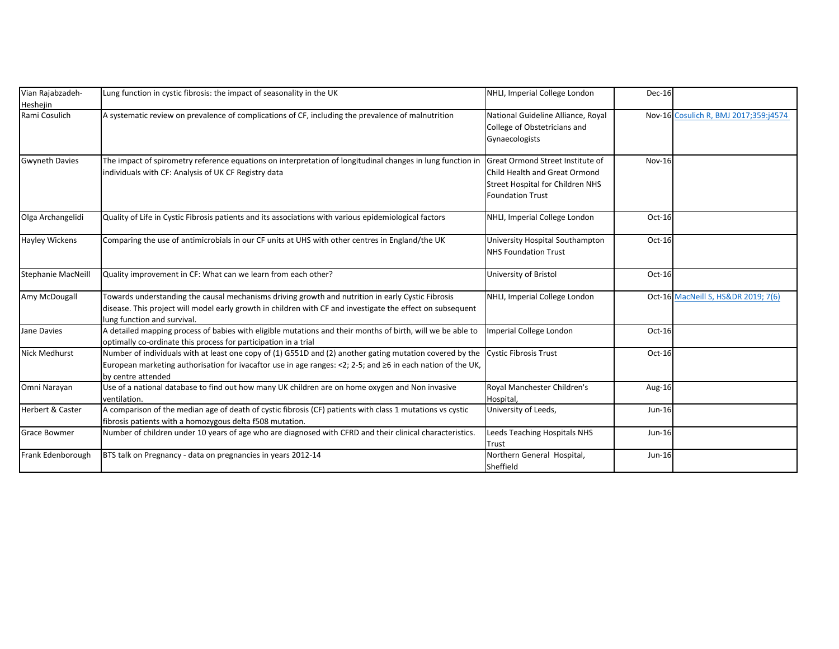| Vian Rajabzadeh-            | Lung function in cystic fibrosis: the impact of seasonality in the UK                                                                                                                                                                               | NHLI, Imperial College London                                                                                                           | Dec-16        |                                       |
|-----------------------------|-----------------------------------------------------------------------------------------------------------------------------------------------------------------------------------------------------------------------------------------------------|-----------------------------------------------------------------------------------------------------------------------------------------|---------------|---------------------------------------|
| Heshejin<br>Rami Cosulich   | A systematic review on prevalence of complications of CF, including the prevalence of malnutrition                                                                                                                                                  | National Guideline Alliance, Royal<br>College of Obstetricians and<br>Gynaecologists                                                    |               | Nov-16 Cosulich R, BMJ 2017;359:j4574 |
| <b>Gwyneth Davies</b>       | The impact of spirometry reference equations on interpretation of longitudinal changes in lung function in<br>individuals with CF: Analysis of UK CF Registry data                                                                                  | Great Ormond Street Institute of<br>Child Health and Great Ormond<br><b>Street Hospital for Children NHS</b><br><b>Foundation Trust</b> | <b>Nov-16</b> |                                       |
| Olga Archangelidi           | Quality of Life in Cystic Fibrosis patients and its associations with various epidemiological factors                                                                                                                                               | NHLI, Imperial College London                                                                                                           | Oct-16        |                                       |
| <b>Hayley Wickens</b>       | Comparing the use of antimicrobials in our CF units at UHS with other centres in England/the UK                                                                                                                                                     | University Hospital Southampton<br><b>NHS Foundation Trust</b>                                                                          | Oct-16        |                                       |
| <b>Stephanie MacNeill</b>   | Quality improvement in CF: What can we learn from each other?                                                                                                                                                                                       | University of Bristol                                                                                                                   | Oct-16        |                                       |
| Amy McDougall               | Towards understanding the causal mechanisms driving growth and nutrition in early Cystic Fibrosis<br>disease. This project will model early growth in children with CF and investigate the effect on subsequent<br>lung function and survival.      | NHLI, Imperial College London                                                                                                           |               | Oct-16 MacNeill S, HS&DR 2019; 7(6)   |
| Jane Davies                 | A detailed mapping process of babies with eligible mutations and their months of birth, will we be able to<br>optimally co-ordinate this process for participation in a trial                                                                       | Imperial College London                                                                                                                 | Oct-16        |                                       |
| <b>Nick Medhurst</b>        | Number of individuals with at least one copy of (1) G551D and (2) another gating mutation covered by the<br>European marketing authorisation for ivacaftor use in age ranges: <2; 2-5; and $\geq 6$ in each nation of the UK,<br>by centre attended | <b>Cystic Fibrosis Trust</b>                                                                                                            | Oct-16        |                                       |
| Omni Narayan                | Use of a national database to find out how many UK children are on home oxygen and Non invasive<br>ventilation.                                                                                                                                     | Royal Manchester Children's<br>Hospital,                                                                                                | Aug-16        |                                       |
| <b>Herbert &amp; Caster</b> | A comparison of the median age of death of cystic fibrosis (CF) patients with class 1 mutations vs cystic<br>fibrosis patients with a homozygous delta f508 mutation.                                                                               | University of Leeds,                                                                                                                    | Jun-16        |                                       |
| <b>Grace Bowmer</b>         | Number of children under 10 years of age who are diagnosed with CFRD and their clinical characteristics.                                                                                                                                            | Leeds Teaching Hospitals NHS<br>Trust                                                                                                   | $Jun-16$      |                                       |
| Frank Edenborough           | BTS talk on Pregnancy - data on pregnancies in years 2012-14                                                                                                                                                                                        | Northern General Hospital,<br>Sheffield                                                                                                 | $Jun-16$      |                                       |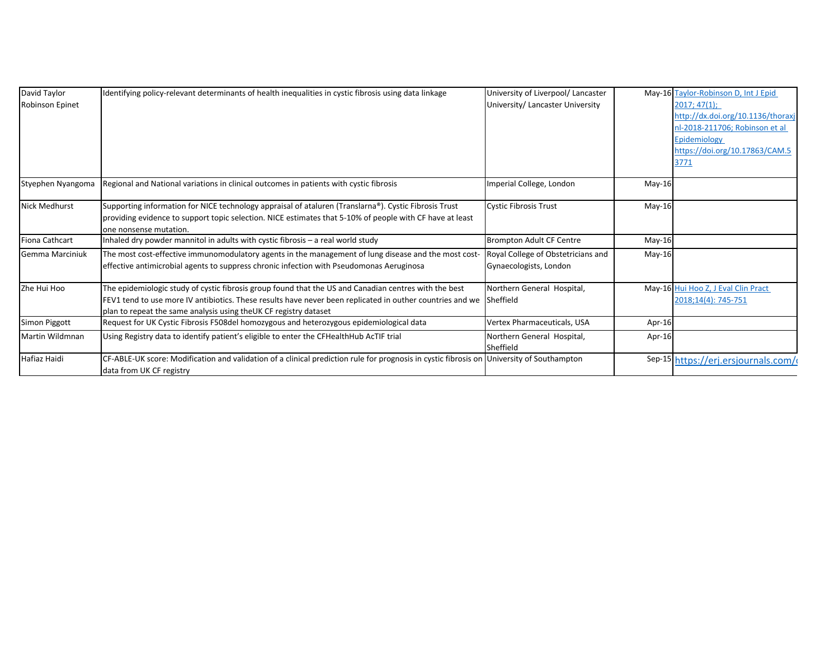| David Taylor      | Identifying policy-relevant determinants of health inequalities in cystic fibrosis using data linkage                                       | University of Liverpool/ Lancaster      |          | May-16 Taylor-Robinson D, Int J Epid |  |
|-------------------|---------------------------------------------------------------------------------------------------------------------------------------------|-----------------------------------------|----------|--------------------------------------|--|
| Robinson Epinet   |                                                                                                                                             | University/ Lancaster University        |          | 2017; 47(1);                         |  |
|                   |                                                                                                                                             |                                         |          | http://dx.doi.org/10.1136/thoraxj    |  |
|                   |                                                                                                                                             |                                         |          | nl-2018-211706: Robinson et al       |  |
|                   |                                                                                                                                             |                                         |          | Epidemiology                         |  |
|                   |                                                                                                                                             |                                         |          | https://doi.org/10.17863/CAM.5       |  |
|                   |                                                                                                                                             |                                         |          | 3771                                 |  |
| Styephen Nyangoma | Regional and National variations in clinical outcomes in patients with cystic fibrosis                                                      | mperial College, London                 | $May-16$ |                                      |  |
|                   |                                                                                                                                             |                                         |          |                                      |  |
| Nick Medhurst     | Supporting information for NICE technology appraisal of ataluren (Translarna®). Cystic Fibrosis Trust                                       | Cystic Fibrosis Trust                   | May-16   |                                      |  |
|                   | providing evidence to support topic selection. NICE estimates that 5-10% of people with CF have at least<br>one nonsense mutation.          |                                         |          |                                      |  |
| Fiona Cathcart    | Inhaled dry powder mannitol in adults with cystic fibrosis - a real world study                                                             | Brompton Adult CF Centre                | $May-16$ |                                      |  |
| Gemma Marciniuk   | The most cost-effective immunomodulatory agents in the management of lung disease and the most cost-                                        | Royal College of Obstetricians and      | $May-16$ |                                      |  |
|                   | effective antimicrobial agents to suppress chronic infection with Pseudomonas Aeruginosa                                                    | Gynaecologists, London                  |          |                                      |  |
| Zhe Hui Hoo       | The epidemiologic study of cystic fibrosis group found that the US and Canadian centres with the best                                       | Northern General Hospital,              |          | May-16 Hui Hoo Z, J Eval Clin Pract  |  |
|                   | FEV1 tend to use more IV antibiotics. These results have never been replicated in outher countries and we Sheffield                         |                                         |          | 2018;14(4): 745-751                  |  |
|                   | plan to repeat the same analysis using the UK CF registry dataset                                                                           |                                         |          |                                      |  |
| Simon Piggott     | Request for UK Cystic Fibrosis F508del homozygous and heterozygous epidemiological data                                                     | Vertex Pharmaceuticals, USA             | Apr-16   |                                      |  |
| Martin Wildmnan   | Using Registry data to identify patient's eligible to enter the CFHealthHub AcTIF trial                                                     | Northern General Hospital,<br>Sheffield | Apr-16   |                                      |  |
| Hafiaz Haidi      | CF-ABLE-UK score: Modification and validation of a clinical prediction rule for prognosis in cystic fibrosis on<br>data from UK CF registry | University of Southampton               |          | Sep-15 https://erj.ersjournals.com/  |  |